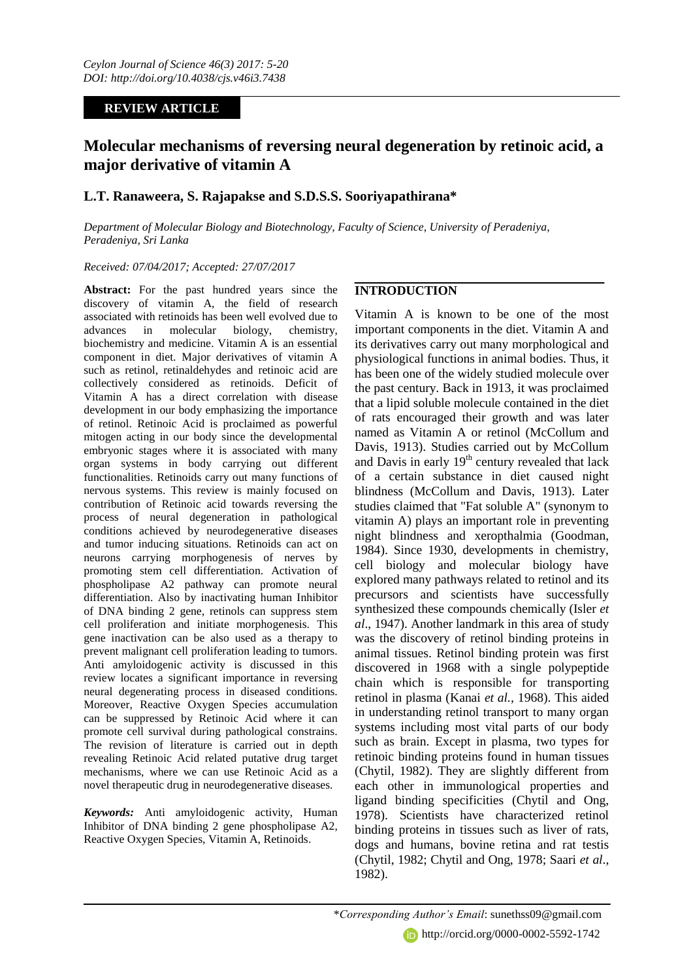# **REVIEW ARTICLE**

# **Molecular mechanisms of reversing neural degeneration by retinoic acid, a major derivative of vitamin A**

# **L.T. Ranaweera, S. Rajapakse and S.D.S.S. Sooriyapathirana\***

*Department of Molecular Biology and Biotechnology, Faculty of Science, University of Peradeniya, Peradeniya, Sri Lanka*

#### *Received: 07/04/2017; Accepted: 27/07/2017*

**Abstract:** For the past hundred years since the discovery of vitamin A, the field of research associated with retinoids has been well evolved due to advances in molecular biology, chemistry, biochemistry and medicine. Vitamin A is an essential component in diet. Major derivatives of vitamin A such as retinol, retinaldehydes and retinoic acid are collectively considered as retinoids. Deficit of Vitamin A has a direct correlation with disease development in our body emphasizing the importance of retinol. Retinoic Acid is proclaimed as powerful mitogen acting in our body since the developmental embryonic stages where it is associated with many organ systems in body carrying out different functionalities. Retinoids carry out many functions of nervous systems. This review is mainly focused on contribution of Retinoic acid towards reversing the process of neural degeneration in pathological conditions achieved by neurodegenerative diseases and tumor inducing situations. Retinoids can act on neurons carrying morphogenesis of nerves by promoting stem cell differentiation. Activation of phospholipase A2 pathway can promote neural differentiation. Also by inactivating human Inhibitor of DNA binding 2 gene, retinols can suppress stem cell proliferation and initiate morphogenesis. This gene inactivation can be also used as a therapy to prevent malignant cell proliferation leading to tumors. Anti amyloidogenic activity is discussed in this review locates a significant importance in reversing neural degenerating process in diseased conditions. Moreover, Reactive Oxygen Species accumulation can be suppressed by Retinoic Acid where it can promote cell survival during pathological constrains. The revision of literature is carried out in depth revealing Retinoic Acid related putative drug target mechanisms, where we can use Retinoic Acid as a novel therapeutic drug in neurodegenerative diseases.

*Keywords:* Anti amyloidogenic activity, Human Inhibitor of DNA binding 2 gene phospholipase A2, Reactive Oxygen Species, Vitamin A, Retinoids.

# **INTRODUCTION**

Vitamin A is known to be one of the most important components in the diet. Vitamin A and its derivatives carry out many morphological and physiological functions in animal bodies. Thus, it has been one of the widely studied molecule over the past century. Back in 1913, it was proclaimed that a lipid soluble molecule contained in the diet of rats encouraged their growth and was later named as Vitamin A or retinol (McCollum and Davis, 1913). Studies carried out by McCollum and Davis in early  $19<sup>th</sup>$  century revealed that lack of a certain substance in diet caused night blindness (McCollum and Davis, 1913). Later studies claimed that "Fat soluble A" (synonym to vitamin A) plays an important role in preventing night blindness and xeropthalmia (Goodman, 1984). Since 1930, developments in chemistry, cell biology and molecular biology have explored many pathways related to retinol and its precursors and scientists have successfully synthesized these compounds chemically (Isler *et al*., 1947). Another landmark in this area of study was the discovery of retinol binding proteins in animal tissues. Retinol binding protein was first discovered in 1968 with a single polypeptide chain which is responsible for transporting retinol in plasma (Kanai *et al.,* 1968). This aided in understanding retinol transport to many organ systems including most vital parts of our body such as brain. Except in plasma, two types for retinoic binding proteins found in human tissues (Chytil, 1982). They are slightly different from each other in immunological properties and ligand binding specificities (Chytil and Ong, 1978). Scientists have characterized retinol binding proteins in tissues such as liver of rats, dogs and humans, bovine retina and rat testis (Chytil, 1982; Chytil and Ong, 1978; Saari *et al*., 1982).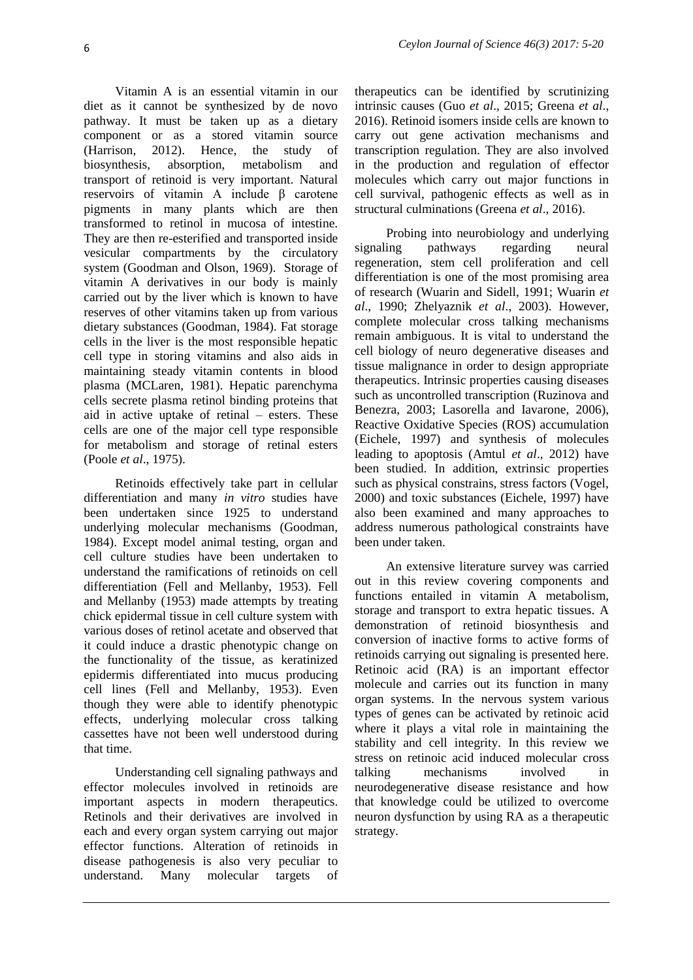Vitamin A is an essential vitamin in our diet as it cannot be synthesized by de novo pathway. It must be taken up as a dietary component or as a stored vitamin source (Harrison, 2012). Hence, the study of biosynthesis, absorption, metabolism and transport of retinoid is very important. Natural reservoirs of vitamin A include β carotene pigments in many plants which are then transformed to retinol in mucosa of intestine. They are then re-esterified and transported inside vesicular compartments by the circulatory system (Goodman and Olson, 1969). Storage of vitamin A derivatives in our body is mainly carried out by the liver which is known to have reserves of other vitamins taken up from various dietary substances (Goodman, 1984). Fat storage cells in the liver is the most responsible hepatic cell type in storing vitamins and also aids in maintaining steady vitamin contents in blood plasma (MCLaren, 1981). Hepatic parenchyma cells secrete plasma retinol binding proteins that aid in active uptake of retinal – esters. These cells are one of the major cell type responsible for metabolism and storage of retinal esters (Poole *et al*., 1975).

Retinoids effectively take part in cellular differentiation and many *in vitro* studies have been undertaken since 1925 to understand underlying molecular mechanisms (Goodman, 1984). Except model animal testing, organ and cell culture studies have been undertaken to understand the ramifications of retinoids on cell differentiation (Fell and Mellanby, 1953). Fell and Mellanby (1953) made attempts by treating chick epidermal tissue in cell culture system with various doses of retinol acetate and observed that it could induce a drastic phenotypic change on the functionality of the tissue, as keratinized epidermis differentiated into mucus producing cell lines (Fell and Mellanby, 1953). Even though they were able to identify phenotypic effects, underlying molecular cross talking cassettes have not been well understood during that time.

Understanding cell signaling pathways and effector molecules involved in retinoids are important aspects in modern therapeutics. Retinols and their derivatives are involved in each and every organ system carrying out major effector functions. Alteration of retinoids in disease pathogenesis is also very peculiar to understand. Many molecular targets of

therapeutics can be identified by scrutinizing intrinsic causes (Guo *et al*., 2015; Greena *et al*., 2016). Retinoid isomers inside cells are known to carry out gene activation mechanisms and transcription regulation. They are also involved in the production and regulation of effector molecules which carry out major functions in cell survival, pathogenic effects as well as in structural culminations (Greena *et al*., 2016).

Probing into neurobiology and underlying signaling pathways regarding neural regeneration, stem cell proliferation and cell differentiation is one of the most promising area of research (Wuarin and Sidell, 1991; Wuarin *et al*., 1990; Zhelyaznik *et al*., 2003). However, complete molecular cross talking mechanisms remain ambiguous. It is vital to understand the cell biology of neuro degenerative diseases and tissue malignance in order to design appropriate therapeutics. Intrinsic properties causing diseases such as uncontrolled transcription (Ruzinova and Benezra, 2003; Lasorella and Iavarone, 2006), Reactive Oxidative Species (ROS) accumulation (Eichele, 1997) and synthesis of molecules leading to apoptosis (Amtul *et al*., 2012) have been studied. In addition, extrinsic properties such as physical constrains, stress factors (Vogel, 2000) and toxic substances (Eichele, 1997) have also been examined and many approaches to address numerous pathological constraints have been under taken.

An extensive literature survey was carried out in this review covering components and functions entailed in vitamin A metabolism, storage and transport to extra hepatic tissues. A demonstration of retinoid biosynthesis and conversion of inactive forms to active forms of retinoids carrying out signaling is presented here. Retinoic acid (RA) is an important effector molecule and carries out its function in many organ systems. In the nervous system various types of genes can be activated by retinoic acid where it plays a vital role in maintaining the stability and cell integrity. In this review we stress on retinoic acid induced molecular cross talking mechanisms involved in neurodegenerative disease resistance and how that knowledge could be utilized to overcome neuron dysfunction by using RA as a therapeutic strategy.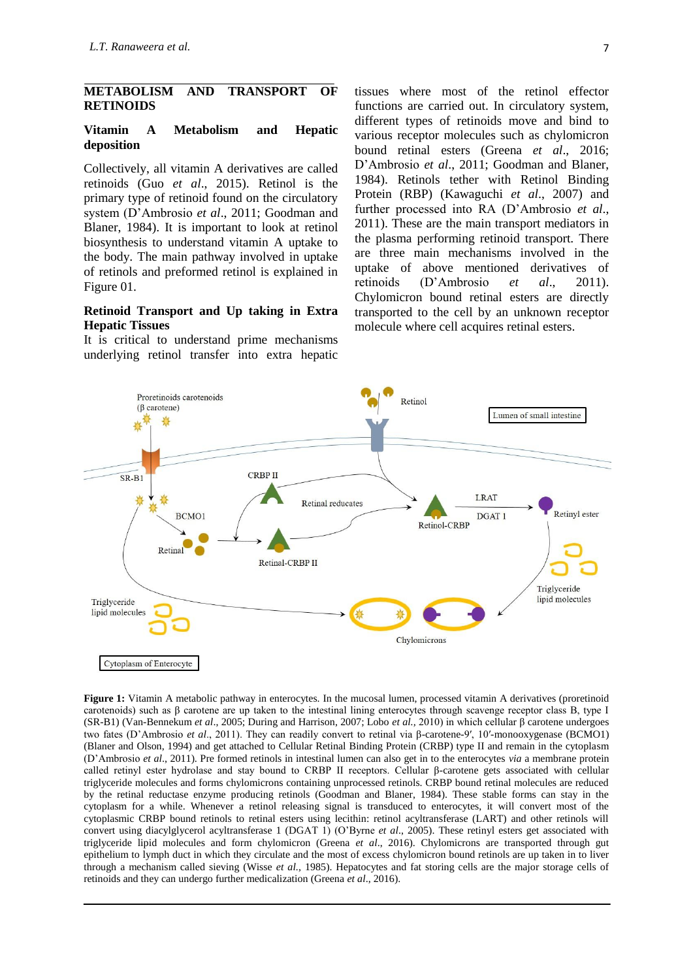#### **METABOLISM AND TRANSPORT OF RETINOIDS**

#### **Vitamin A Metabolism and Hepatic deposition**

Collectively, all vitamin A derivatives are called retinoids (Guo *et al*., 2015). Retinol is the primary type of retinoid found on the circulatory system (D'Ambrosio *et al*., 2011; Goodman and Blaner, 1984). It is important to look at retinol biosynthesis to understand vitamin A uptake to the body. The main pathway involved in uptake of retinols and preformed retinol is explained in Figure 01.

## **Retinoid Transport and Up taking in Extra Hepatic Tissues**

It is critical to understand prime mechanisms underlying retinol transfer into extra hepatic

tissues where most of the retinol effector functions are carried out. In circulatory system, different types of retinoids move and bind to various receptor molecules such as chylomicron bound retinal esters (Greena *et al*., 2016; D'Ambrosio *et al*., 2011; Goodman and Blaner, 1984). Retinols tether with Retinol Binding Protein (RBP) (Kawaguchi *et al*., 2007) and further processed into RA (D'Ambrosio *et al*., 2011). These are the main transport mediators in the plasma performing retinoid transport. There are three main mechanisms involved in the uptake of above mentioned derivatives of retinoids (D'Ambrosio *et al*., 2011). Chylomicron bound retinal esters are directly transported to the cell by an unknown receptor molecule where cell acquires retinal esters.



**Figure 1:** Vitamin A metabolic pathway in enterocytes. In the mucosal lumen, processed vitamin A derivatives (proretinoid carotenoids) such as β carotene are up taken to the intestinal lining enterocytes through scavenge receptor class B, type I (SR-B1) (Van-Bennekum *et al*., 2005; During and Harrison, 2007; Lobo *et al.,* 2010) in which cellular β carotene undergoes two fates (D'Ambrosio *et al*., 2011). They can readily convert to retinal via β-carotene-9′, 10′-monooxygenase (BCMO1) (Blaner and Olson, 1994) and get attached to Cellular Retinal Binding Protein (CRBP) type II and remain in the cytoplasm (D'Ambrosio *et al*., 2011). Pre formed retinols in intestinal lumen can also get in to the enterocytes *via* a membrane protein called retinyl ester hydrolase and stay bound to CRBP II receptors. Cellular β-carotene gets associated with cellular triglyceride molecules and forms chylomicrons containing unprocessed retinols. CRBP bound retinal molecules are reduced by the retinal reductase enzyme producing retinols (Goodman and Blaner, 1984). These stable forms can stay in the cytoplasm for a while. Whenever a retinol releasing signal is transduced to enterocytes, it will convert most of the cytoplasmic CRBP bound retinols to retinal esters using lecithin: retinol acyltransferase (LART) and other retinols will convert using diacylglycerol acyltransferase 1 (DGAT 1) (O'Byrne *et al*., 2005). These retinyl esters get associated with triglyceride lipid molecules and form chylomicron (Greena *et al*., 2016). Chylomicrons are transported through gut epithelium to lymph duct in which they circulate and the most of excess chylomicron bound retinols are up taken in to liver through a mechanism called sieving (Wisse *et al.,* 1985). Hepatocytes and fat storing cells are the major storage cells of retinoids and they can undergo further medicalization (Greena *et al*., 2016).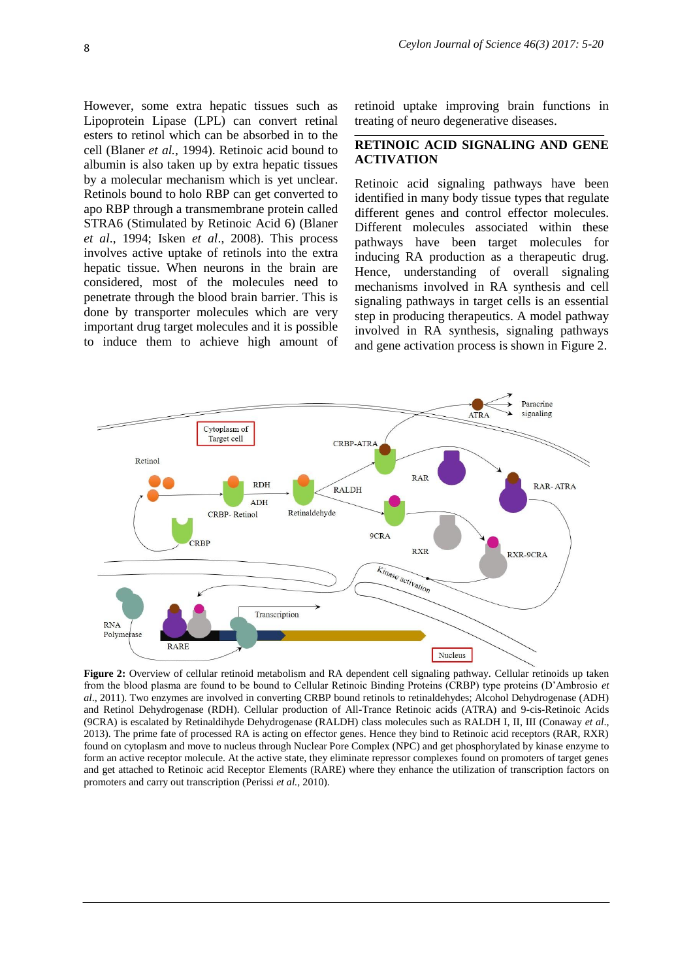However, some extra hepatic tissues such as Lipoprotein Lipase (LPL) can convert retinal esters to retinol which can be absorbed in to the cell (Blaner *et al.,* 1994). Retinoic acid bound to albumin is also taken up by extra hepatic tissues by a molecular mechanism which is yet unclear. Retinols bound to holo RBP can get converted to apo RBP through a transmembrane protein called STRA6 (Stimulated by Retinoic Acid 6) (Blaner *et al*., 1994; Isken *et al*., 2008). This process involves active uptake of retinols into the extra hepatic tissue. When neurons in the brain are considered, most of the molecules need to penetrate through the blood brain barrier. This is done by transporter molecules which are very important drug target molecules and it is possible to induce them to achieve high amount of retinoid uptake improving brain functions in treating of neuro degenerative diseases.

## **RETINOIC ACID SIGNALING AND GENE ACTIVATION**

Retinoic acid signaling pathways have been identified in many body tissue types that regulate different genes and control effector molecules. Different molecules associated within these pathways have been target molecules for inducing RA production as a therapeutic drug. Hence, understanding of overall signaling mechanisms involved in RA synthesis and cell signaling pathways in target cells is an essential step in producing therapeutics. A model pathway involved in RA synthesis, signaling pathways and gene activation process is shown in Figure 2.



**Figure 2:** Overview of cellular retinoid metabolism and RA dependent cell signaling pathway. Cellular retinoids up taken from the blood plasma are found to be bound to Cellular Retinoic Binding Proteins (CRBP) type proteins (D'Ambrosio *et al*., 2011). Two enzymes are involved in converting CRBP bound retinols to retinaldehydes; Alcohol Dehydrogenase (ADH) and Retinol Dehydrogenase (RDH). Cellular production of All-Trance Retinoic acids (ATRA) and 9-cis-Retinoic Acids (9CRA) is escalated by Retinaldihyde Dehydrogenase (RALDH) class molecules such as RALDH I, II, III (Conaway *et al*., 2013). The prime fate of processed RA is acting on effector genes. Hence they bind to Retinoic acid receptors (RAR, RXR) found on cytoplasm and move to nucleus through Nuclear Pore Complex (NPC) and get phosphorylated by kinase enzyme to form an active receptor molecule. At the active state, they eliminate repressor complexes found on promoters of target genes and get attached to Retinoic acid Receptor Elements (RARE) where they enhance the utilization of transcription factors on promoters and carry out transcription (Perissi *et al.,* 2010).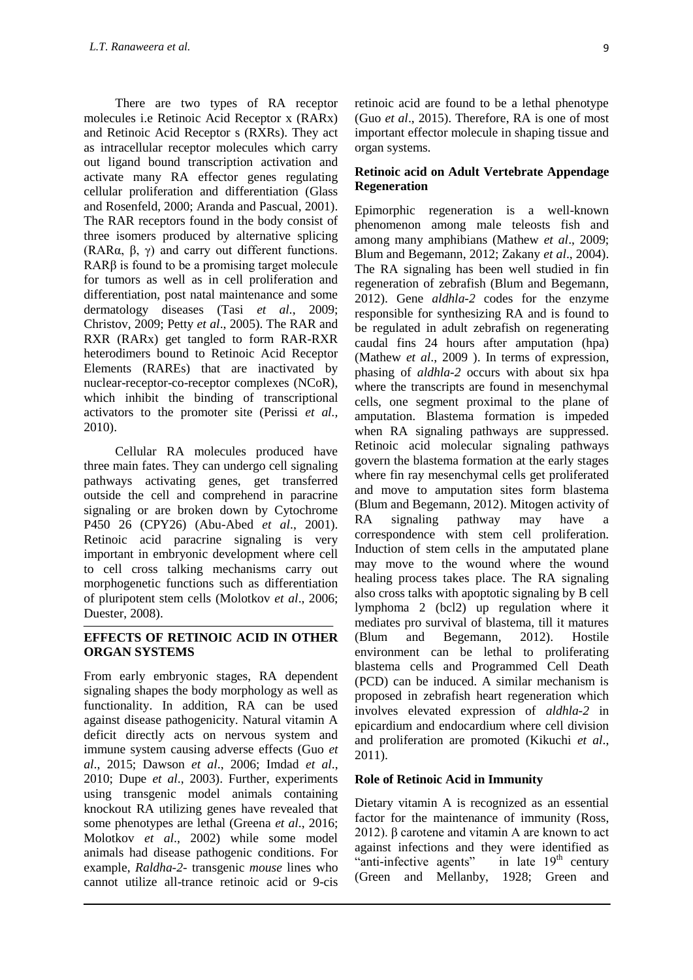There are two types of RA receptor molecules i.e Retinoic Acid Receptor x (RARx) and Retinoic Acid Receptor s (RXRs). They act as intracellular receptor molecules which carry out ligand bound transcription activation and activate many RA effector genes regulating cellular proliferation and differentiation (Glass and Rosenfeld, 2000; Aranda and Pascual, 2001). The RAR receptors found in the body consist of three isomers produced by alternative splicing (RAR $\alpha$ ,  $\beta$ ,  $\gamma$ ) and carry out different functions. RARβ is found to be a promising target molecule for tumors as well as in cell proliferation and differentiation, post natal maintenance and some dermatology diseases (Tasi *et al.*, 2009; Christov, 2009; Petty *et al*., 2005). The RAR and RXR (RARx) get tangled to form RAR-RXR heterodimers bound to Retinoic Acid Receptor Elements (RAREs) that are inactivated by nuclear-receptor-co-receptor complexes (NCoR), which inhibit the binding of transcriptional activators to the promoter site (Perissi *et al.,*  2010).

Cellular RA molecules produced have three main fates. They can undergo cell signaling pathways activating genes, get transferred outside the cell and comprehend in paracrine signaling or are broken down by Cytochrome P450 26 (CPY26) (Abu-Abed *et al*., 2001). Retinoic acid paracrine signaling is very important in embryonic development where cell to cell cross talking mechanisms carry out morphogenetic functions such as differentiation of pluripotent stem cells (Molotkov *et al*., 2006; [Duester,](javascript:void(0);) 2008).

## **EFFECTS OF RETINOIC ACID IN OTHER ORGAN SYSTEMS**

From early embryonic stages, RA dependent signaling shapes the body morphology as well as functionality. In addition, RA can be used against disease pathogenicity. Natural vitamin A deficit directly acts on nervous system and immune system causing adverse effects (Guo *et al*., 2015; Dawson *et al*., 2006; Imdad *et al*., 2010; Dupe *et al*., 2003). Further, experiments using transgenic model animals containing knockout RA utilizing genes have revealed that some phenotypes are lethal (Greena *et al*., 2016; Molotkov *et al*., 2002) while some model animals had disease pathogenic conditions. For example, *Raldha-2-* transgenic *mouse* lines who cannot utilize all-trance retinoic acid or 9-cis

retinoic acid are found to be a lethal phenotype (Guo *et al*., 2015). Therefore, RA is one of most important effector molecule in shaping tissue and organ systems.

## **Retinoic acid on Adult Vertebrate Appendage Regeneration**

Epimorphic regeneration is a well-known phenomenon among male teleosts fish and among many amphibians (Mathew *et al*., 2009; Blum and Begemann, 2012; Zakany *et al*., 2004). The RA signaling has been well studied in fin regeneration of zebrafish (Blum and Begemann, 2012). Gene *aldhla-2* codes for the enzyme responsible for synthesizing RA and is found to be regulated in adult zebrafish on regenerating caudal fins 24 hours after amputation (hpa) (Mathew *et al*., 2009 ). In terms of expression, phasing of *aldhla-2* occurs with about six hpa where the transcripts are found in mesenchymal cells, one segment proximal to the plane of amputation. Blastema formation is impeded when RA signaling pathways are suppressed. Retinoic acid molecular signaling pathways govern the blastema formation at the early stages where fin ray mesenchymal cells get proliferated and move to amputation sites form blastema (Blum and Begemann, 2012). Mitogen activity of RA signaling pathway may have a correspondence with stem cell proliferation. Induction of stem cells in the amputated plane may move to the wound where the wound healing process takes place. The RA signaling also cross talks with apoptotic signaling by B cell lymphoma 2 (bcl2) up regulation where it mediates pro survival of blastema, till it matures (Blum and Begemann, 2012). Hostile environment can be lethal to proliferating blastema cells and Programmed Cell Death (PCD) can be induced. A similar mechanism is proposed in zebrafish heart regeneration which involves elevated expression of *aldhla-2* in epicardium and endocardium where cell division and proliferation are promoted (Kikuchi *et al*., 2011).

## **Role of Retinoic Acid in Immunity**

Dietary vitamin A is recognized as an essential factor for the maintenance of immunity (Ross, 2012). β carotene and vitamin A are known to act against infections and they were identified as "anti-infective agents" in late  $19<sup>th</sup>$  century (Green and Mellanby, 1928; Green and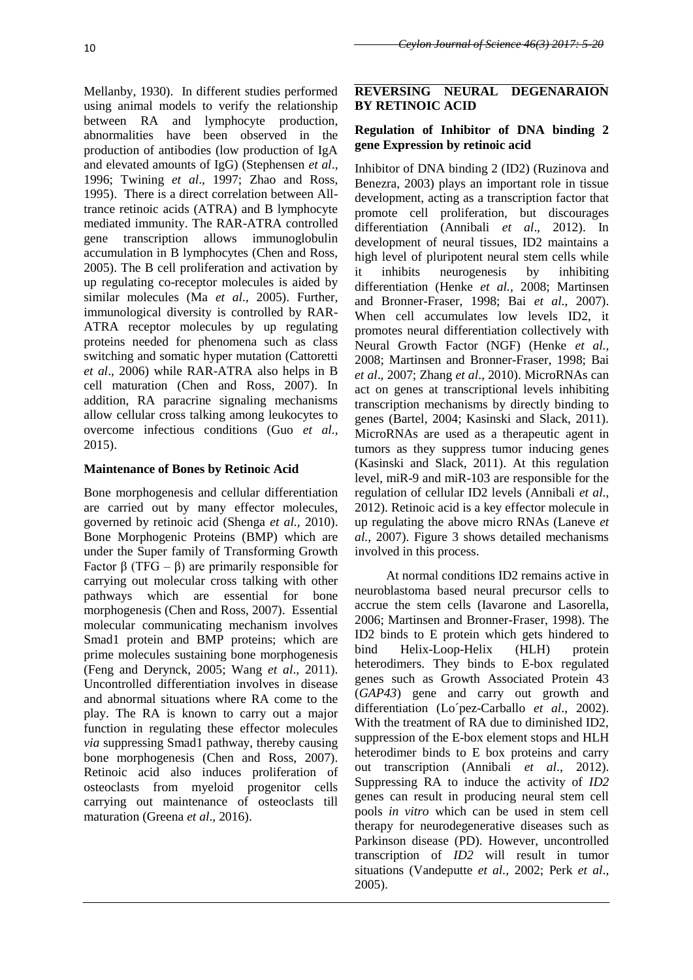Mellanby, 1930). In different studies performed using animal models to verify the relationship between RA and lymphocyte production, abnormalities have been observed in the production of antibodies (low production of IgA and elevated amounts of IgG) (Stephensen *et al*., 1996; Twining *et al*., 1997; Zhao and Ross, 1995). There is a direct correlation between Alltrance retinoic acids (ATRA) and B lymphocyte mediated immunity. The RAR-ATRA controlled gene transcription allows immunoglobulin accumulation in B lymphocytes (Chen and Ross, 2005). The B cell proliferation and activation by up regulating co-receptor molecules is aided by similar molecules (Ma *et al*., 2005). Further, immunological diversity is controlled by RAR-ATRA receptor molecules by up regulating proteins needed for phenomena such as class switching and somatic hyper mutation (Cattoretti *et al*., 2006) while RAR-ATRA also helps in B cell maturation (Chen and Ross, 2007). In addition, RA paracrine signaling mechanisms allow cellular cross talking among leukocytes to overcome infectious conditions (Guo *et al.,* 2015).

# **Maintenance of Bones by Retinoic Acid**

Bone morphogenesis and cellular differentiation are carried out by many effector molecules, governed by retinoic acid (Shenga *et al.,* 2010). Bone Morphogenic Proteins (BMP) which are under the Super family of Transforming Growth Factor β (TFG – β) are primarily responsible for carrying out molecular cross talking with other pathways which are essential for bone morphogenesis (Chen and Ross, 2007). Essential molecular communicating mechanism involves Smad1 protein and BMP proteins; which are prime molecules sustaining bone morphogenesis (Feng and Derynck, 2005; Wang *et al*., 2011). Uncontrolled differentiation involves in disease and abnormal situations where RA come to the play. The RA is known to carry out a major function in regulating these effector molecules *via* suppressing Smad1 pathway, thereby causing bone morphogenesis (Chen and Ross, 2007). Retinoic acid also induces proliferation of osteoclasts from myeloid progenitor cells carrying out maintenance of osteoclasts till maturation (Greena *et al*., 2016).

# **REVERSING NEURAL DEGENARAION BY RETINOIC ACID**

# **Regulation of Inhibitor of DNA binding 2 gene Expression by retinoic acid**

Inhibitor of DNA binding 2 (ID2) (Ruzinova and Benezra, 2003) plays an important role in tissue development, acting as a transcription factor that promote cell proliferation, but discourages differentiation (Annibali *et al*., 2012). In development of neural tissues, ID2 maintains a high level of pluripotent neural stem cells while it inhibits neurogenesis by inhibiting differentiation (Henke *et al.,* 2008; Martinsen and Bronner-Fraser, 1998; Bai *et al*., 2007). When cell accumulates low levels ID2, it promotes neural differentiation collectively with Neural Growth Factor (NGF) (Henke *et al.,* 2008; Martinsen and Bronner-Fraser, 1998; Bai *et al*., 2007; Zhang *et al*., 2010). MicroRNAs can act on genes at transcriptional levels inhibiting transcription mechanisms by directly binding to genes (Bartel, 2004; Kasinski and Slack, 2011). MicroRNAs are used as a therapeutic agent in tumors as they suppress tumor inducing genes (Kasinski and Slack, 2011). At this regulation level, miR-9 and miR-103 are responsible for the regulation of cellular ID2 levels (Annibali *et al*., 2012). Retinoic acid is a key effector molecule in up regulating the above micro RNAs (Laneve *et al.,* 2007). Figure 3 shows detailed mechanisms involved in this process.

At normal conditions ID2 remains active in neuroblastoma based neural precursor cells to accrue the stem cells (Iavarone and Lasorella, 2006; Martinsen and Bronner-Fraser, 1998). The ID2 binds to E protein which gets hindered to bind Helix-Loop-Helix (HLH) protein heterodimers. They binds to E-box regulated genes such as Growth Associated Protein 43 (*GAP43*) gene and carry out growth and differentiation (Lo´pez-Carballo *et al*., 2002). With the treatment of RA due to diminished ID2, suppression of the E-box element stops and HLH heterodimer binds to E box proteins and carry out transcription (Annibali *et al*., 2012). Suppressing RA to induce the activity of *ID2* genes can result in producing neural stem cell pools *in vitro* which can be used in stem cell therapy for neurodegenerative diseases such as Parkinson disease (PD). However, uncontrolled transcription of *ID2* will result in tumor situations (Vandeputte *et al.,* 2002; Perk *et al*., 2005).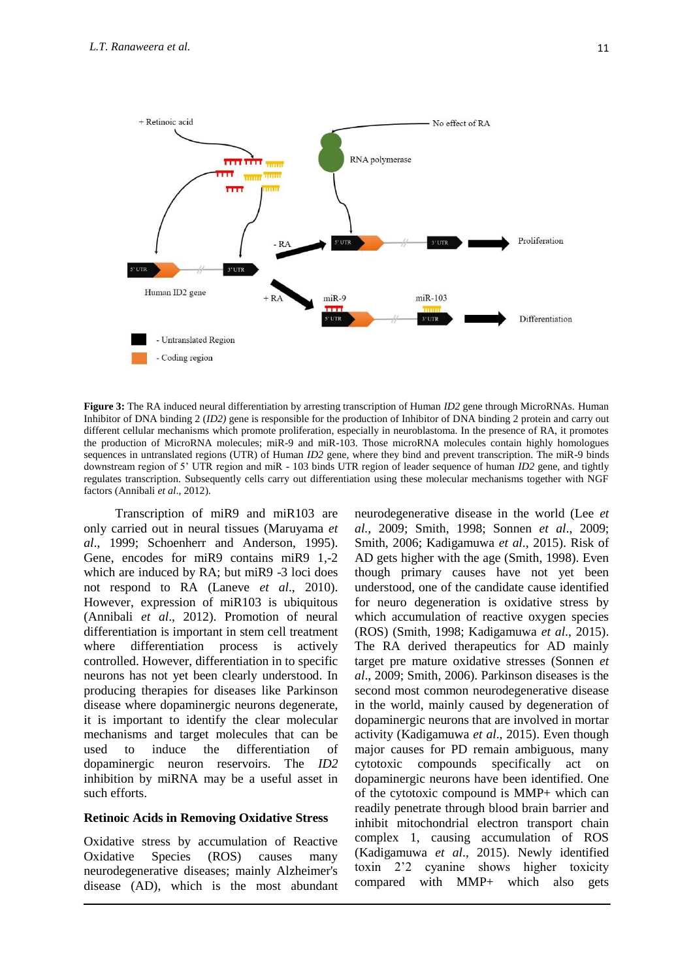

**Figure 3:** The RA induced neural differentiation by arresting transcription of Human *ID2* gene through MicroRNAs. Human Inhibitor of DNA binding 2 (*ID2)* gene is responsible for the production of Inhibitor of DNA binding 2 protein and carry out different cellular mechanisms which promote proliferation, especially in neuroblastoma. In the presence of RA, it promotes the production of MicroRNA molecules; miR-9 and miR-103. Those microRNA molecules contain highly homologues sequences in untranslated regions (UTR) of Human *ID2* gene, where they bind and prevent transcription. The miR-9 binds downstream region of 5' UTR region and miR - 103 binds UTR region of leader sequence of human *ID2* gene, and tightly regulates transcription. Subsequently cells carry out differentiation using these molecular mechanisms together with NGF factors (Annibali *et al*., 2012).

Transcription of miR9 and miR103 are only carried out in neural tissues (Maruyama *et al*., 1999; Schoenherr and Anderson, 1995). Gene, encodes for miR9 contains miR9 1,-2 which are induced by RA; but miR9 -3 loci does not respond to RA (Laneve *et al*., 2010). However, expression of miR103 is ubiquitous (Annibali *et al*., 2012). Promotion of neural differentiation is important in stem cell treatment where differentiation process is actively controlled. However, differentiation in to specific neurons has not yet been clearly understood. In producing therapies for diseases like Parkinson disease where dopaminergic neurons degenerate, it is important to identify the clear molecular mechanisms and target molecules that can be used to induce the differentiation of dopaminergic neuron reservoirs. The *ID2* inhibition by miRNA may be a useful asset in such efforts.

#### **Retinoic Acids in Removing Oxidative Stress**

Oxidative stress by accumulation of Reactive Oxidative Species (ROS) causes many neurodegenerative diseases; mainly Alzheimer's disease (AD), which is the most abundant

neurodegenerative disease in the world (Lee *et al.,* 2009; Smith, 1998; Sonnen *et al*., 2009; Smith, 2006; Kadigamuwa *et al*., 2015). Risk of AD gets higher with the age (Smith, 1998). Even though primary causes have not yet been understood, one of the candidate cause identified for neuro degeneration is oxidative stress by which accumulation of reactive oxygen species (ROS) (Smith, 1998; Kadigamuwa *et al*., 2015). The RA derived therapeutics for AD mainly target pre mature oxidative stresses (Sonnen *et al*., 2009; Smith, 2006). Parkinson diseases is the second most common neurodegenerative disease in the world, mainly caused by degeneration of dopaminergic neurons that are involved in mortar activity (Kadigamuwa *et al*., 2015). Even though major causes for PD remain ambiguous, many cytotoxic compounds specifically act on dopaminergic neurons have been identified. One of the cytotoxic compound is MMP+ which can readily penetrate through blood brain barrier and inhibit mitochondrial electron transport chain complex 1, causing accumulation of ROS (Kadigamuwa *et al*., 2015). Newly identified toxin 2'2 cyanine shows higher toxicity compared with MMP+ which also gets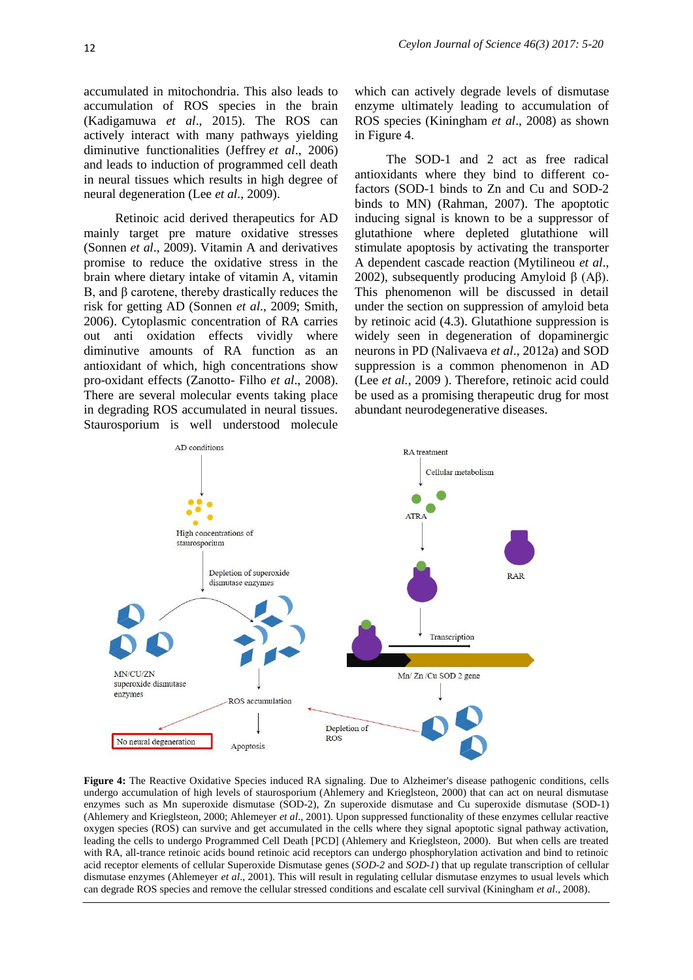accumulated in mitochondria. This also leads to accumulation of ROS species in the brain (Kadigamuwa *et al*., 2015). The ROS can actively interact with many pathways yielding diminutive functionalities (Jeffrey *et al*., 2006) and leads to induction of programmed cell death in neural tissues which results in high degree of neural degeneration (Lee *et al.,* 2009).

Retinoic acid derived therapeutics for AD mainly target pre mature oxidative stresses (Sonnen *et al*., 2009). Vitamin A and derivatives promise to reduce the oxidative stress in the brain where dietary intake of vitamin A, vitamin B, and β carotene, thereby drastically reduces the risk for getting AD (Sonnen *et al*., 2009; Smith, 2006). Cytoplasmic concentration of RA carries out anti oxidation effects vividly where diminutive amounts of RA function as an antioxidant of which, high concentrations show pro-oxidant effects (Zanotto- Filho *et al*., 2008). There are several molecular events taking place in degrading ROS accumulated in neural tissues. Staurosporium is well understood molecule

which can actively degrade levels of dismutase enzyme ultimately leading to accumulation of ROS species (Kiningham *et al*., 2008) as shown in Figure 4.

The SOD-1 and 2 act as free radical antioxidants where they bind to different cofactors (SOD-1 binds to Zn and Cu and SOD-2 binds to MN) [\(Rahman,](http://www.ncbi.nlm.nih.gov/pubmed/?term=Rahman%20K%5Bauth%5D) 2007). The apoptotic inducing signal is known to be a suppressor of glutathione where depleted glutathione will stimulate apoptosis by activating the transporter A dependent cascade reaction (Mytilineou *et al*., 2002), subsequently producing Amyloid β (Aβ). This phenomenon will be discussed in detail under the section on suppression of amyloid beta by retinoic acid (4.3). Glutathione suppression is widely seen in degeneration of dopaminergic neurons in PD (Nalivaeva *et al*., 2012a) and SOD suppression is a common phenomenon in AD (Lee *et al.,* 2009 ). Therefore, retinoic acid could be used as a promising therapeutic drug for most abundant neurodegenerative diseases.



**Figure 4:** The Reactive Oxidative Species induced RA signaling. Due to Alzheimer's disease pathogenic conditions, cells undergo accumulation of high levels of staurosporium (Ahlemery and Krieglsteon, 2000) that can act on neural dismutase enzymes such as Mn superoxide dismutase (SOD-2), Zn superoxide dismutase and Cu superoxide dismutase (SOD-1) (Ahlemery and Krieglsteon, 2000; Ahlemeyer *et al*., 2001). Upon suppressed functionality of these enzymes cellular reactive oxygen species (ROS) can survive and get accumulated in the cells where they signal apoptotic signal pathway activation, leading the cells to undergo Programmed Cell Death [PCD] (Ahlemery and Krieglsteon, 2000). But when cells are treated with RA, all-trance retinoic acids bound retinoic acid receptors can undergo phosphorylation activation and bind to retinoic acid receptor elements of cellular Superoxide Dismutase genes (*SOD-2* and *SOD-1*) that up regulate transcription of cellular dismutase enzymes (Ahlemeyer *et al*., 2001). This will result in regulating cellular dismutase enzymes to usual levels which can degrade ROS species and remove the cellular stressed conditions and escalate cell survival (Kiningham *et al*., 2008).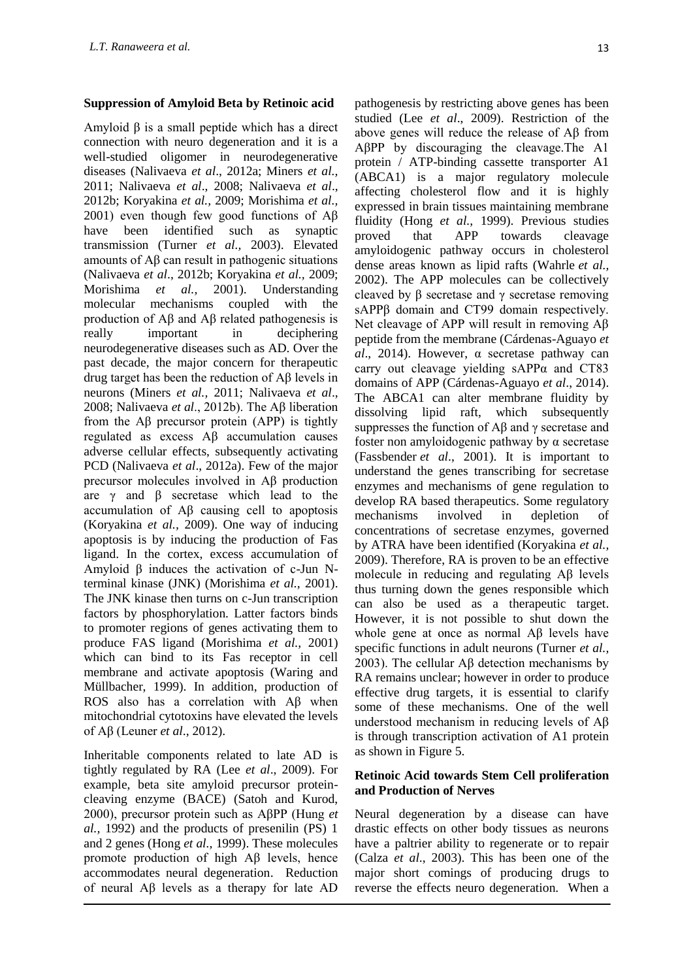## **Suppression of Amyloid Beta by Retinoic acid**

Amyloid β is a small peptide which has a direct connection with neuro degeneration and it is a well-studied oligomer in neurodegenerative diseases (Nalivaeva *et al*., 2012a; Miners *et al.,* 2011; Nalivaeva *et al*., 2008; Nalivaeva *et al*., 2012b; Koryakina *et al.,* 2009; Morishima *et al.,* 2001) even though few good functions of Aβ have been identified such as synaptic transmission (Turner *et al.,* 2003). Elevated amounts of Aβ can result in pathogenic situations (Nalivaeva *et al*., 2012b; Koryakina *et al.,* 2009; Morishima *et al.,* 2001). Understanding molecular mechanisms coupled with the production of Aβ and Aβ related pathogenesis is really important in deciphering neurodegenerative diseases such as AD. Over the past decade, the major concern for therapeutic drug target has been the reduction of Aβ levels in neurons (Miners *et al.,* 2011; Nalivaeva *et al*., 2008; Nalivaeva *et al*., 2012b). The Aβ liberation from the Aβ precursor protein (APP) is tightly regulated as excess Aβ accumulation causes adverse cellular effects, subsequently activating PCD (Nalivaeva *et al*., 2012a). Few of the major precursor molecules involved in Aβ production are  $\gamma$  and  $\beta$  secretase which lead to the accumulation of Aβ causing cell to apoptosis (Koryakina *et al.,* 2009). One way of inducing apoptosis is by inducing the production of Fas ligand. In the cortex, excess accumulation of Amyloid β induces the activation of c-Jun Nterminal kinase (JNK) (Morishima *et al.,* 2001). The JNK kinase then turns on c-Jun transcription factors by phosphorylation. Latter factors binds to promoter regions of genes activating them to produce FAS ligand (Morishima *et al.,* 2001) which can bind to its Fas receptor in cell membrane and activate apoptosis (Waring and Müllbacher, 1999). In addition, production of ROS also has a correlation with Aβ when mitochondrial cytotoxins have elevated the levels of Aβ (Leuner *et al*., 2012).

Inheritable components related to late AD is tightly regulated by RA (Lee *et al*., 2009). For example, beta site amyloid precursor proteincleaving enzyme (BACE) (Satoh and Kurod, 2000), precursor protein such as AβPP (Hung *et al.,* 1992) and the products of presenilin (PS) 1 and 2 genes (Hong *et al.,* 1999). These molecules promote production of high Aβ levels, hence accommodates neural degeneration. Reduction of neural Aβ levels as a therapy for late AD

pathogenesis by restricting above genes has been studied (Lee *et al*., 2009). Restriction of the above genes will reduce the release of Aβ from AβPP by discouraging the cleavage.The A1 protein / ATP-binding cassette transporter A1 (ABCA1) is a major regulatory molecule affecting cholesterol flow and it is highly expressed in brain tissues maintaining membrane fluidity (Hong *et al.,* 1999). Previous studies proved that APP towards cleavage amyloidogenic pathway occurs in cholesterol dense areas known as lipid rafts (Wahrle *et al.,* 2002). The APP molecules can be collectively cleaved by β secretase and γ secretase removing sAPPβ domain and CT99 domain respectively. Net cleavage of APP will result in removing Aβ peptide from the membrane (Cárdenas-Aguayo *et al*., 2014). However, α secretase pathway can carry out cleavage yielding sAPPα and CT83 domains of APP (Cárdenas-Aguayo *et al*., 2014). The ABCA1 can alter membrane fluidity by dissolving lipid raft, which subsequently suppresses the function of  $\overrightarrow{AB}$  and  $\gamma$  secretase and foster non amyloidogenic pathway by α secretase (Fassbender *et al*., 2001). It is important to understand the genes transcribing for secretase enzymes and mechanisms of gene regulation to develop RA based therapeutics. Some regulatory mechanisms involved in depletion of concentrations of secretase enzymes, governed by ATRA have been identified (Koryakina *et al.,* 2009). Therefore, RA is proven to be an effective molecule in reducing and regulating Aβ levels thus turning down the genes responsible which can also be used as a therapeutic target. However, it is not possible to shut down the whole gene at once as normal Aβ levels have specific functions in adult neurons (Turner *et al.,* 2003). The cellular Aβ detection mechanisms by RA remains unclear; however in order to produce effective drug targets, it is essential to clarify some of these mechanisms. One of the well understood mechanism in reducing levels of Aβ is through transcription activation of A1 protein as shown in Figure 5.

## **Retinoic Acid towards Stem Cell proliferation and Production of Nerves**

Neural degeneration by a disease can have drastic effects on other body tissues as neurons have a paltrier ability to regenerate or to repair (Calza *et al*., 2003). This has been one of the major short comings of producing drugs to reverse the effects neuro degeneration. When a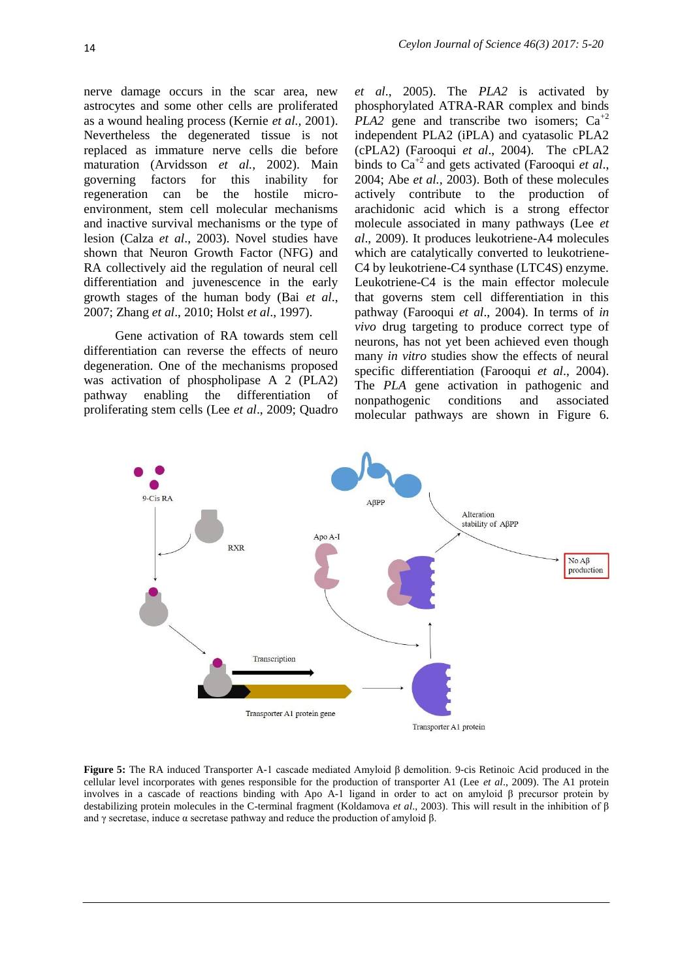nerve damage occurs in the scar area, new astrocytes and some other cells are proliferated as a wound healing process (Kernie *et al.,* 2001). Nevertheless the degenerated tissue is not replaced as immature nerve cells die before maturation (Arvidsson *et al.,* 2002). Main governing factors for this inability for regeneration can be the hostile microenvironment, stem cell molecular mechanisms and inactive survival mechanisms or the type of lesion (Calza *et al*., 2003). Novel studies have shown that Neuron Growth Factor (NFG) and RA collectively aid the regulation of neural cell differentiation and juvenescence in the early growth stages of the human body (Bai *et al*., 2007; Zhang *et al*., 2010; Holst *et al*., 1997).

Gene activation of RA towards stem cell differentiation can reverse the effects of neuro degeneration. One of the mechanisms proposed was activation of phospholipase A 2 (PLA2) pathway enabling the differentiation of proliferating stem cells (Lee *et al*., 2009; Quadro

*et al*., 2005). The *PLA2* is activated by phosphorylated ATRA-RAR complex and binds *PLA2* gene and transcribe two isomers;  $Ca^{+2}$ independent PLA2 (iPLA) and cyatasolic PLA2 (cPLA2) (Farooqui *et al*., 2004). The cPLA2 binds to Ca+2 and gets activated (Farooqui *et al*., 2004; Abe *et al.,* 2003). Both of these molecules actively contribute to the production of arachidonic acid which is a strong effector molecule associated in many pathways (Lee *et al*., 2009). It produces leukotriene-A4 molecules which are catalytically converted to leukotriene-C4 by leukotriene-C4 synthase (LTC4S) enzyme. Leukotriene-C4 is the main effector molecule that governs stem cell differentiation in this pathway (Farooqui *et al*., 2004). In terms of *in vivo* drug targeting to produce correct type of neurons, has not yet been achieved even though many *in vitro* studies show the effects of neural specific differentiation (Farooqui *et al*., 2004). The *PLA* gene activation in pathogenic and nonpathogenic conditions and associated molecular pathways are shown in Figure 6.



**Figure 5:** The RA induced Transporter A-1 cascade mediated Amyloid β demolition. 9-cis Retinoic Acid produced in the cellular level incorporates with genes responsible for the production of transporter A1 (Lee *et al*., 2009). The A1 protein involves in a cascade of reactions binding with Apo A-1 ligand in order to act on amyloid β precursor protein by destabilizing protein molecules in the C-terminal fragment [\(Koldamova](http://www.jbc.org/search?author1=Radosveta+P.+Koldamova&sortspec=date&submit=Submit) *et al*., 2003). This will result in the inhibition of β and  $\gamma$  secretase, induce  $\alpha$  secretase pathway and reduce the production of amyloid  $\beta$ .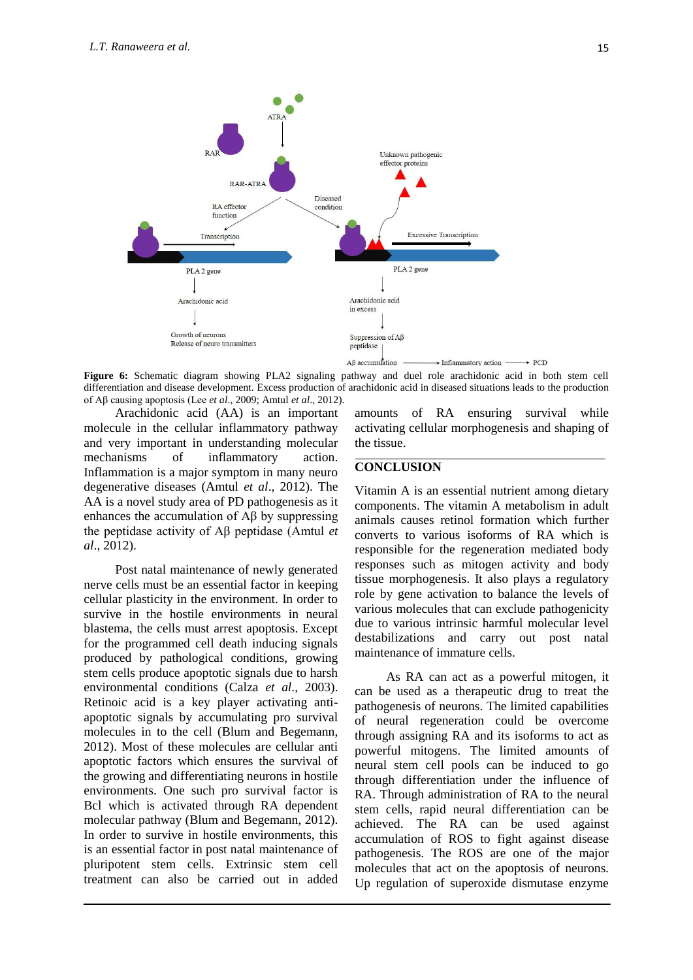

**Figure 6:** Schematic diagram showing PLA2 signaling pathway and duel role arachidonic acid in both stem cell differentiation and disease development. Excess production of arachidonic acid in diseased situations leads to the production of Aβ causing apoptosis (Lee *et al*., 2009; Amtul *et al*., 2012).

Arachidonic acid (AA) is an important molecule in the cellular inflammatory pathway and very important in understanding molecular mechanisms of inflammatory action. Inflammation is a major symptom in many neuro degenerative diseases (Amtul *et al*., 2012). The AA is a novel study area of PD pathogenesis as it enhances the accumulation of Aβ by suppressing the peptidase activity of Aβ peptidase (Amtul *et al*., 2012).

Post natal maintenance of newly generated nerve cells must be an essential factor in keeping cellular plasticity in the environment. In order to survive in the hostile environments in neural blastema, the cells must arrest apoptosis. Except for the programmed cell death inducing signals produced by pathological conditions, growing stem cells produce apoptotic signals due to harsh environmental conditions (Calza *et al*., 2003). Retinoic acid is a key player activating antiapoptotic signals by accumulating pro survival molecules in to the cell (Blum and Begemann, 2012). Most of these molecules are cellular anti apoptotic factors which ensures the survival of the growing and differentiating neurons in hostile environments. One such pro survival factor is Bcl which is activated through RA dependent molecular pathway (Blum and Begemann, 2012). In order to survive in hostile environments, this is an essential factor in post natal maintenance of pluripotent stem cells. Extrinsic stem cell treatment can also be carried out in added

amounts of RA ensuring survival while activating cellular morphogenesis and shaping of the tissue.

## **CONCLUSION**

Vitamin A is an essential nutrient among dietary components. The vitamin A metabolism in adult animals causes retinol formation which further converts to various isoforms of RA which is responsible for the regeneration mediated body responses such as mitogen activity and body tissue morphogenesis. It also plays a regulatory role by gene activation to balance the levels of various molecules that can exclude pathogenicity due to various intrinsic harmful molecular level destabilizations and carry out post natal maintenance of immature cells.

As RA can act as a powerful mitogen, it can be used as a therapeutic drug to treat the pathogenesis of neurons. The limited capabilities of neural regeneration could be overcome through assigning RA and its isoforms to act as powerful mitogens. The limited amounts of neural stem cell pools can be induced to go through differentiation under the influence of RA. Through administration of RA to the neural stem cells, rapid neural differentiation can be achieved. The RA can be used against accumulation of ROS to fight against disease pathogenesis. The ROS are one of the major molecules that act on the apoptosis of neurons. Up regulation of superoxide dismutase enzyme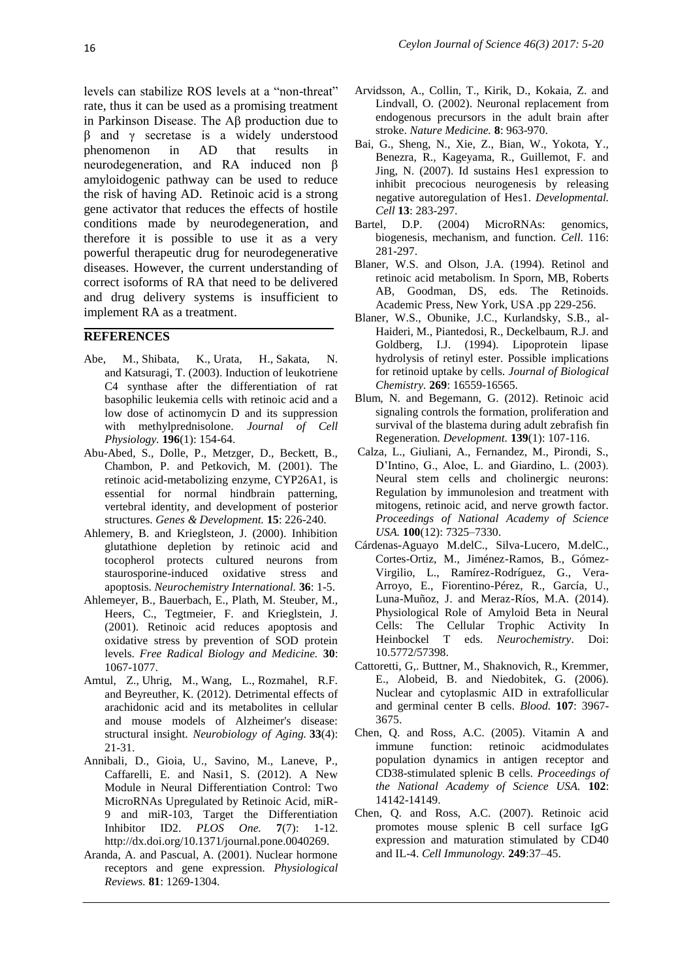levels can stabilize ROS levels at a "non-threat" rate, thus it can be used as a promising treatment in Parkinson Disease. The Aβ production due to β and γ secretase is a widely understood phenomenon in AD that results in neurodegeneration, and RA induced non β amyloidogenic pathway can be used to reduce the risk of having AD. Retinoic acid is a strong gene activator that reduces the effects of hostile conditions made by neurodegeneration, and therefore it is possible to use it as a very powerful therapeutic drug for neurodegenerative diseases. However, the current understanding of correct isoforms of RA that need to be delivered and drug delivery systems is insufficient to implement RA as a treatment.

#### **REFERENCES**

- [Abe, M.,](http://www.ncbi.nlm.nih.gov/pubmed/?term=Abe%20M%5BAuthor%5D&cauthor=true&cauthor_uid=12767051) [Shibata, K.](http://www.ncbi.nlm.nih.gov/pubmed/?term=Shibata%20K%5BAuthor%5D&cauthor=true&cauthor_uid=12767051), [Urata, H.](http://www.ncbi.nlm.nih.gov/pubmed/?term=Urata%20H%5BAuthor%5D&cauthor=true&cauthor_uid=12767051), [Sakata, N.](http://www.ncbi.nlm.nih.gov/pubmed/?term=Sakata%20N%5BAuthor%5D&cauthor=true&cauthor_uid=12767051) and [Katsuragi, T.](http://www.ncbi.nlm.nih.gov/pubmed/?term=Katsuragi%20T%5BAuthor%5D&cauthor=true&cauthor_uid=12767051) (2003). Induction of leukotriene C4 synthase after the differentiation of rat basophilic leukemia cells with retinoic acid and a low dose of actinomycin D and its suppression with methylprednisolone. *[Journal of Cell](http://www.ncbi.nlm.nih.gov/pubmed/12767051)  [Physiology.](http://www.ncbi.nlm.nih.gov/pubmed/12767051)* **196**(1): 154-64.
- Abu-Abed, S., Dolle, P., Metzger, D., Beckett, B., Chambon, P. and Petkovich, M. (2001). The retinoic acid-metabolizing enzyme, CYP26A1, is essential for normal hindbrain patterning, vertebral identity, and development of posterior structures. *Genes & Development.* **15**: 226-240.
- Ahlemery, B. and Krieglsteon, J. (2000). Inhibition glutathione depletion by retinoic acid and tocopherol protects cultured neurons from staurosporine-induced oxidative stress and apoptosis. *Neurochemistry International.* **36**: 1-5.
- Ahlemeyer, B., Bauerbach, E., Plath, M. [Steuber, M.,](http://www.ncbi.nlm.nih.gov/pubmed/?term=Steuber%20M%5BAuthor%5D&cauthor=true&cauthor_uid=11369496) [Heers, C.](http://www.ncbi.nlm.nih.gov/pubmed/?term=Heers%20C%5BAuthor%5D&cauthor=true&cauthor_uid=11369496), [Tegtmeier, F.](http://www.ncbi.nlm.nih.gov/pubmed/?term=Tegtmeier%20F%5BAuthor%5D&cauthor=true&cauthor_uid=11369496) and [Krieglstein, J.](http://www.ncbi.nlm.nih.gov/pubmed/?term=Krieglstein%20J%5BAuthor%5D&cauthor=true&cauthor_uid=11369496) (2001). Retinoic acid reduces apoptosis and oxidative stress by prevention of SOD protein levels. *Free Radical Biology and Medicine.* **30**: 1067-1077.
- Amtul, Z., Uhrig, M., Wang, L., Rozmahel, R.F. and Beyreuther, K. (2012). Detrimental effects of arachidonic acid and its metabolites in cellular and mouse models of Alzheimer's disease: structural insight. *Neurobiology of Aging.* **33**(4): 21-31.
- Annibali, D., Gioia, U., Savino, M., Laneve, P., Caffarelli, E. and Nasi1, S. (2012). A New Module in Neural Differentiation Control: Two MicroRNAs Upregulated by Retinoic Acid, miR-9 and miR-103, Target the Differentiation Inhibitor ID2. *PLOS One.* **7**(7): 1-12. http://dx.doi.org/10.1371/journal.pone.0040269.
- Aranda, A. and Pascual, A. (2001). Nuclear hormone receptors and gene expression. *Physiological Reviews.* **81**: 1269-1304.
- Arvidsson, A., Collin, T., Kirik, D., Kokaia, Z. and Lindvall, O. (2002). Neuronal replacement from endogenous precursors in the adult brain after stroke. *Nature Medicine.* **8**: 963-970.
- Bai, G., Sheng, N., Xie, Z., Bian, W., Yokota, Y., Benezra, R., Kageyama, R., Guillemot, F. and Jing, N. (2007). Id sustains Hes1 expression to inhibit precocious neurogenesis by releasing negative autoregulation of Hes1. *Developmental. Cell* **13**: 283-297.
- Bartel, D.P. (2004) MicroRNAs: genomics, biogenesis, mechanism, and function. *Cell*. 116: 281-297.
- Blaner, W.S. and Olson, J.A. (1994). Retinol and retinoic acid metabolism. In Sporn, MB, Roberts AB, Goodman, DS, eds. The Retinoids. Academic Press, New York, USA .pp 229-256.
- Blaner, W.S., Obunike, J.C., Kurlandsky, S.B., al-Haideri, M., Piantedosi, R., Deckelbaum, R.J. and Goldberg, I.J. (1994). Lipoprotein lipase hydrolysis of retinyl ester. Possible implications for retinoid uptake by cells. *Journal of Biological Chemistry.* **269**: 16559-16565.
- Blum, N. and Begemann, G. (2012). Retinoic acid signaling controls the formation, proliferation and survival of the blastema during adult zebrafish fin Regeneration*. Development.* **139**(1): 107-116.
- Calza, L., Giuliani, A., Fernandez, M., Pirondi, S., D'Intino, G., Aloe, L. and Giardino, L. (2003). Neural stem cells and cholinergic neurons: Regulation by immunolesion and treatment with mitogens, retinoic acid, and nerve growth factor. *Proceedings of National Academy of Science USA.* **100**(12): 7325–7330.
- Cárdenas-Aguayo M.delC., Silva-Lucero, M.delC., Cortes-Ortiz, M., Jiménez-Ramos, B., Gómez-Virgilio, L., Ramírez-Rodríguez, G., Vera-Arroyo, E., Fiorentino-Pérez, R., García, U., Luna-Muñoz, J. and Meraz-Ríos, M.A. (2014). Physiological Role of Amyloid Beta in Neural Cells: The Cellular Trophic Activity In Heinbockel T eds. *Neurochemistry*. Doi: 10.5772/57398.
- Cattoretti, G,. Buttner, M., Shaknovich, R., Kremmer, E., Alobeid, B. and Niedobitek, G. (2006). Nuclear and cytoplasmic AID in extrafollicular and germinal center B cells. *Blood.* **107**: 3967- 3675.
- Chen, Q. and Ross, A.C. (2005). Vitamin A and immune function: retinoic acidmodulates population dynamics in antigen receptor and CD38-stimulated splenic B cells. *Proceedings of the National Academy of Science USA.* **102**: 14142-14149.
- Chen, Q. and Ross, A.C. (2007). Retinoic acid promotes mouse splenic B cell surface IgG expression and maturation stimulated by CD40 and IL-4. *Cell Immunology.* **249**:37–45.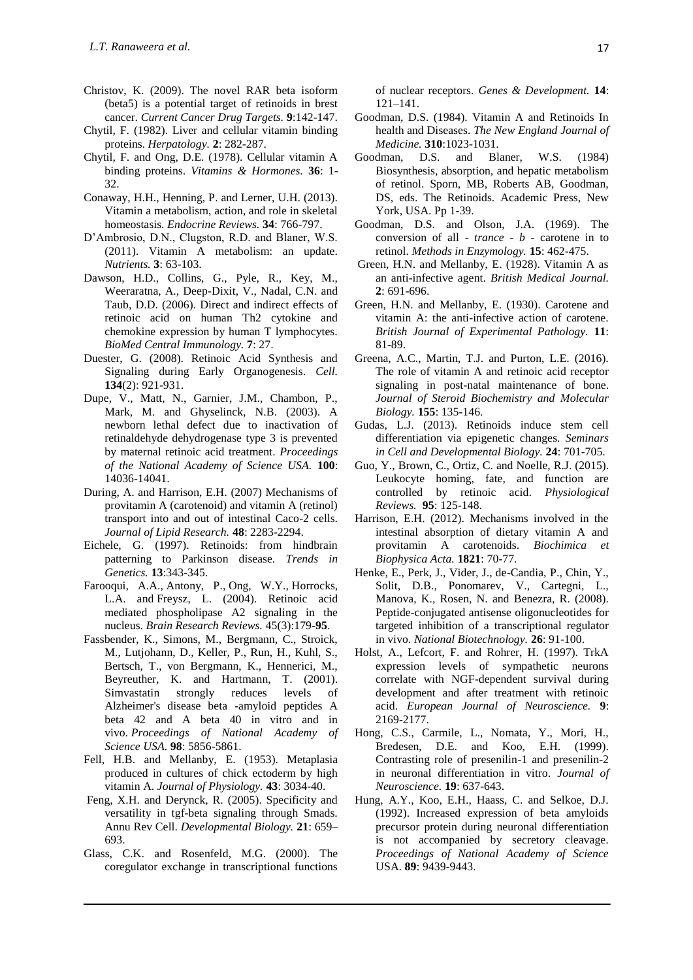- Christov, K. (2009). The novel RAR beta isoform (beta5) is a potential target of retinoids in brest cancer. *Current Cancer Drug Targets.* **9**:142-147.
- Chytil, F. (1982). Liver and cellular vitamin binding proteins. *Herpatology.* **2**: 282-287.
- Chytil, F. and Ong, D.E. (1978). Cellular vitamin A binding proteins. *Vitamins & Hormones.* **36**: 1- 32.
- Conaway, H.H., Henning, P. and Lerner, U.H. (2013). Vitamin a metabolism, action, and role in skeletal homeostasis. *Endocrine Reviews.* **34**: 766-797.
- D'Ambrosio, D.N., Clugston, R.D. and Blaner, W.S. (2011). Vitamin A metabolism: an update. *Nutrients.* **3**: 63-103.
- Dawson, H.D., Collins, G., Pyle, R., Key, M., Weeraratna, A., Deep-Dixit, V., Nadal, C.N. and Taub, D.D. (2006). Direct and indirect effects of retinoic acid on human Th2 cytokine and chemokine expression by human T lymphocytes. *BioMed Central Immunology.* **7**: 27.
- [Duester,](javascript:void(0);) G. (2008). Retinoic Acid Synthesis and Signaling during Early Organogenesis. *Cell.* **134**(2): 921-931.
- Dupe, V., Matt, N., Garnier, J.M., Chambon, P., Mark, M. and Ghyselinck, N.B. (2003). A newborn lethal defect due to inactivation of retinaldehyde dehydrogenase type 3 is prevented by maternal retinoic acid treatment. *Proceedings of the National Academy of Science USA.* **100**: 14036-14041.
- During, A. and Harrison, E.H. (2007) Mechanisms of provitamin A (carotenoid) and vitamin A (retinol) transport into and out of intestinal Caco-2 cells. *Journal of Lipid Research.* **48**: 2283-2294.
- Eichele, G. (1997). Retinoids: from hindbrain patterning to Parkinson disease. *Trends in Genetics.* **13**:343-345.
- [Farooqui, A.A.,](http://www.ncbi.nlm.nih.gov/pubmed/?term=Farooqui%20AA%5BAuthor%5D&cauthor=true&cauthor_uid=15210303) [Antony, P.](http://www.ncbi.nlm.nih.gov/pubmed/?term=Antony%20P%5BAuthor%5D&cauthor=true&cauthor_uid=15210303), [Ong, W.Y.](http://www.ncbi.nlm.nih.gov/pubmed/?term=Ong%20WY%5BAuthor%5D&cauthor=true&cauthor_uid=15210303), [Horrocks,](http://www.ncbi.nlm.nih.gov/pubmed/?term=Horrocks%20LA%5BAuthor%5D&cauthor=true&cauthor_uid=15210303)  [L.A.](http://www.ncbi.nlm.nih.gov/pubmed/?term=Horrocks%20LA%5BAuthor%5D&cauthor=true&cauthor_uid=15210303) and [Freysz, L.](http://www.ncbi.nlm.nih.gov/pubmed/?term=Freysz%20L%5BAuthor%5D&cauthor=true&cauthor_uid=15210303) (2004). Retinoic acid mediated phospholipase A2 signaling in the nucleus. *Brain Research Reviews.* 45(3):179-**95**.
- Fassbender, K., Simons, M., Bergmann, C., Stroick, M., Lutjohann, D., Keller, P., Run, H., Kuhl, S., Bertsch, T., von Bergmann, K., Hennerici, M., Beyreuther, K. and Hartmann, T. (2001). Simvastatin strongly reduces levels of Alzheimer's disease beta -amyloid peptides A beta 42 and A beta 40 in vitro and in vivo. *Proceedings of National Academy of Science USA.* **98**: 5856-5861.
- Fell, H.B. and Mellanby, E. (1953). Metaplasia produced in cultures of chick ectoderm by high vitamin A. *Journal of Physiology.* **43**: 3034-40.
- Feng, X.H. and Derynck, R. (2005). Specificity and versatility in tgf-beta signaling through Smads. Annu Rev Cell. *Developmental Biology.* **21**: 659– 693.
- Glass, C.K. and Rosenfeld, M.G. (2000). The coregulator exchange in transcriptional functions

of nuclear receptors. *Genes & Development.* **14**: 121–141.

- Goodman, D.S. (1984). Vitamin A and Retinoids In health and Diseases. *The New England Journal of Medicine.* **310**:1023-1031.
- Goodman, D.S. and Blaner, W.S. (1984) Biosynthesis, absorption, and hepatic metabolism of retinol. Sporn, MB, Roberts AB, Goodman, DS, eds. The Retinoids. Academic Press, New York, USA. Pp 1-39.
- Goodman, D.S. and Olson, J.A. (1969). The conversion of all - *trance - b -* carotene in to retinol. *Methods in Enzymology.* **15**: 462-475.
- Green, H.N. and Mellanby, E. (1928). Vitamin A as an anti-infective agent. *British Medical Journal.* **2**: 691-696.
- Green, H.N. and Mellanby, E. (1930). Carotene and vitamin A: the anti-infective action of carotene. *British Journal of Experimental Pathology.* **11**: 81-89.
- Greena, A.C., Martin, T.J. and Purton, L.E. (2016). The role of vitamin A and retinoic acid receptor signaling in post-natal maintenance of bone. *Journal of Steroid Biochemistry and Molecular Biology.* **155**: 135-146.
- Gudas, L.J. (2013). Retinoids induce stem cell differentiation via epigenetic changes. *Seminars in Cell and Developmental Biology.* **24**: 701-705.
- Guo, Y., Brown, C., Ortiz, C. and Noelle, R.J. (2015). Leukocyte homing, fate, and function are controlled by retinoic acid. *Physiological Reviews.* **95**: 125-148.
- Harrison, E.H. (2012). Mechanisms involved in the intestinal absorption of dietary vitamin A and provitamin A carotenoids. *Biochimica et Biophysica Acta.* **1821**: 70-77.
- Henke, E., Perk, J., Vider, J., de-Candia, P., Chin, Y., Solit, D.B., Ponomarev, V., Cartegni, L., Manova, K., Rosen, N. and Benezra, R. (2008). Peptide-conjugated antisense oligonucleotides for targeted inhibition of a transcriptional regulator in vivo. *National Biotechnology.* **26**: 91-100.
- Holst, A., Lefcort, F. and Rohrer, H. (1997). TrkA expression levels of sympathetic neurons correlate with NGF-dependent survival during development and after treatment with retinoic acid. *European Journal of Neuroscience.* **9**: 2169-2177.
- Hong, C.S., Carmile, L., Nomata, Y., Mori, H., Bredesen, D.E. and Koo, E.H. (1999). Contrasting role of presenilin-1 and presenilin-2 in neuronal differentiation in vitro. *Journal of Neuroscience.* **19**: 637-643.
- Hung, A.Y., Koo, E.H., Haass, C. and Selkoe, D.J. (1992). Increased expression of beta amyloids precursor protein during neuronal differentiation is not accompanied by secretory cleavage. *Proceedings of National Academy of Science* USA. **89**: 9439-9443.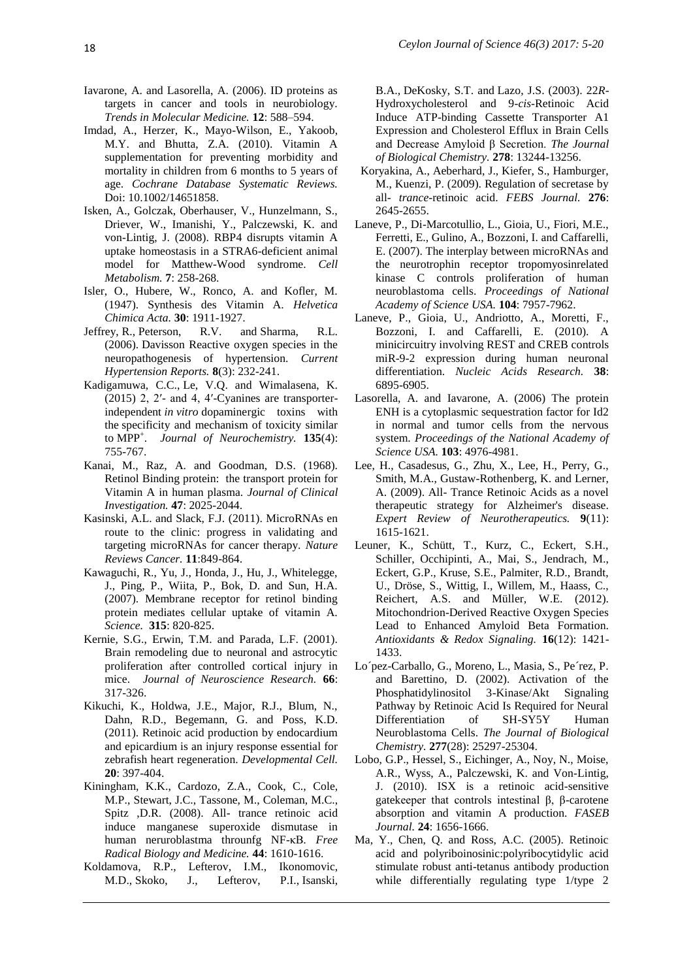- Iavarone, A. and Lasorella, A. (2006). ID proteins as targets in cancer and tools in neurobiology. *Trends in Molecular Medicine.* **12**: 588–594.
- Imdad, A., Herzer, K., Mayo-Wilson, E., Yakoob, M.Y. and Bhutta, Z.A. (2010). Vitamin A supplementation for preventing morbidity and mortality in children from 6 months to 5 years of age. *Cochrane Database Systematic Reviews.*  Doi: 10.1002/14651858.
- Isken, A., Golczak, Oberhauser, V., Hunzelmann, S., Driever, W., Imanishi, Y., Palczewski, K. and von-Lintig, J. (2008). RBP4 disrupts vitamin A uptake homeostasis in a STRA6-deficient animal model for Matthew-Wood syndrome. *Cell Metabolism.* **7**: 258-268.
- Isler, O., Hubere, W., Ronco, A. and Kofler, M. (1947). Synthesis des Vitamin A. *Helvetica Chimica Acta.* **30**: 1911-1927.
- Jeffrey, R., Peterson, R.V. and Sharma, R.L. (2006). Davisson Reactive oxygen species in the neuropathogenesis of hypertension. *[Current](http://link.springer.com/journal/11906)  [Hypertension Reports.](http://link.springer.com/journal/11906)* **8**(3): 232-241.
- Kadigamuwa, C.C., Le, V.Q. and Wimalasena, K. (2015) 2, 2′- and 4, 4′-Cyanines are transporterindependent *in vitro* dopaminergic toxins with the specificity and mechanism of toxicity similar to MPP<sup>+</sup> . *Journal of Neurochemistry.* **[135](http://onlinelibrary.wiley.com/doi/10.1111/jnc.2015.135.issue-4/issuetoc)**(4): 755-767.
- Kanai, M., Raz, A. and Goodman, D.S. (1968). Retinol Binding protein: the transport protein for Vitamin A in human plasma. *Journal of Clinical Investigation.* **47**: 2025-2044.
- Kasinski, A.L. and Slack, F.J. (2011). MicroRNAs en route to the clinic: progress in validating and targeting microRNAs for cancer therapy. *Nature Reviews Cancer.* **11**:849-864.
- Kawaguchi, R., Yu, J., Honda, J., Hu, J., Whitelegge, J., Ping, P., Wiita, P., Bok, D. and Sun, H.A. (2007). Membrane receptor for retinol binding protein mediates cellular uptake of vitamin A. *Science.* **315**: 820-825.
- Kernie, S.G., Erwin, T.M. and Parada, L.F. (2001). Brain remodeling due to neuronal and astrocytic proliferation after controlled cortical injury in mice. *Journal of Neuroscience Research.* **66**: 317-326.
- Kikuchi, K., Holdwa, J.E., Major, R.J., Blum, N., Dahn, R.D., Begemann, G. and Poss, K.D. (2011). Retinoic acid production by endocardium and epicardium is an injury response essential for zebrafish heart regeneration. *Developmental Cell.* **20**: 397-404.
- [Kiningham, K.K.](http://www.ncbi.nlm.nih.gov/pubmed/?term=Kiningham%20KK%5BAuthor%5D&cauthor=true&cauthor_uid=18280257), [Cardozo, Z.A.](http://www.ncbi.nlm.nih.gov/pubmed/?term=Cardozo%20ZA%5BAuthor%5D&cauthor=true&cauthor_uid=18280257), [Cook, C.,](http://www.ncbi.nlm.nih.gov/pubmed/?term=Cook%20C%5BAuthor%5D&cauthor=true&cauthor_uid=18280257) [Cole,](http://www.ncbi.nlm.nih.gov/pubmed/?term=Cole%20MP%5BAuthor%5D&cauthor=true&cauthor_uid=18280257)  [M.P.](http://www.ncbi.nlm.nih.gov/pubmed/?term=Cole%20MP%5BAuthor%5D&cauthor=true&cauthor_uid=18280257)[, Stewart, J.C.](http://www.ncbi.nlm.nih.gov/pubmed/?term=Stewart%20JC%5BAuthor%5D&cauthor=true&cauthor_uid=18280257), [Tassone, M.](http://www.ncbi.nlm.nih.gov/pubmed/?term=Tassone%20M%5BAuthor%5D&cauthor=true&cauthor_uid=18280257), [Coleman, M.C.,](http://www.ncbi.nlm.nih.gov/pubmed/?term=Coleman%20MC%5BAuthor%5D&cauthor=true&cauthor_uid=18280257) [Spitz ,D.R.](http://www.ncbi.nlm.nih.gov/pubmed/?term=Spitz%20DR%5BAuthor%5D&cauthor=true&cauthor_uid=18280257) (2008). All- trance retinoic acid induce manganese superoxide dismutase in human neruroblastma throunfg NF-κB*. Free Radical Biology and Medicine.* **44**: 1610-1616.
- [Koldamova,](http://www.jbc.org/search?author1=Radosveta+P.+Koldamova&sortspec=date&submit=Submit) R.P., [Lefterov,](http://www.jbc.org/search?author1=Iliya+M.+Lefterov&sortspec=date&submit=Submit) I.M., [Ikonomovic,](http://www.jbc.org/search?author1=Milos+D.+Ikonomovic&sortspec=date&submit=Submit) M.D., [Skoko,](http://www.jbc.org/search?author1=John+Skoko&sortspec=date&submit=Submit) J., [Lefterov,](http://www.jbc.org/search?author1=Preslav+I.+Lefterov&sortspec=date&submit=Submit) P.I., [Isanski,](http://www.jbc.org/search?author1=Barbara+A.+Isanski&sortspec=date&submit=Submit)

B.A., [DeKosky,](http://www.jbc.org/search?author1=Steven+T.+DeKosky&sortspec=date&submit=Submit) S.T. and [Lazo,](http://www.jbc.org/search?author1=John+S.+Lazo&sortspec=date&submit=Submit) J.S. (2003). 22*R*-Hydroxycholesterol and 9-*cis*-Retinoic Acid Induce ATP-binding Cassette Transporter A1 Expression and Cholesterol Efflux in Brain Cells and Decrease Amyloid β Secretion. *The Journal of Biological Chemistry.* **278**: 13244-13256.

- Koryakina, A., Aeberhard, J., Kiefer, S., Hamburger, M., Kuenzi, P. (2009). Regulation of secretase by all- *trance*-retinoic acid. *FEBS Journal.* **276**: 2645-2655.
- Laneve, P., Di-Marcotullio, L., Gioia, U., Fiori, M.E., Ferretti, E., Gulino, A., Bozzoni, I. and Caffarelli, E. (2007). The interplay between microRNAs and the neurotrophin receptor tropomyosinrelated kinase C controls proliferation of human neuroblastoma cells. *Proceedings of National Academy of Science USA.* **104**: 7957-7962.
- Laneve, P., Gioia, U., Andriotto, A., Moretti, F., Bozzoni, I. and Caffarelli, E. (2010). A minicircuitry involving REST and CREB controls miR-9-2 expression during human neuronal differentiation. *Nucleic Acids Research.* **38**: 6895-6905.
- Lasorella, A. and Iavarone, A. (2006) The protein ENH is a cytoplasmic sequestration factor for Id2 in normal and tumor cells from the nervous system. *Proceedings of the National Academy of Science USA.* **103**: 4976-4981.
- Lee, H., Casadesus, G., Zhu, X., Lee, H., Perry, G., Smith, M.A., Gustaw-Rothenberg, K. and Lerner, A. (2009). All- Trance Retinoic Acids as a novel therapeutic strategy for Alzheimer's disease. *Expert Review of Neurotherapeutics.* **9**[\(11\):](http://www.ncbi.nlm.nih.gov/entrez/eutils/elink.fcgi?dbfrom=pubmed&retmode=ref&cmd=prlinks&id=19903021)  [1615-1621.](http://www.ncbi.nlm.nih.gov/entrez/eutils/elink.fcgi?dbfrom=pubmed&retmode=ref&cmd=prlinks&id=19903021)
- Leuner, K., Schütt, T., Kurz, C., Eckert, S.H., Schiller, Occhipinti, A., Mai, S., Jendrach, M., Eckert, G.P., Kruse, S.E., Palmiter, R.D., Brandt, U., Dröse, S., Wittig, I., Willem, M., Haass, C., Reichert, A.S. and Müller, W.E. (2012). Mitochondrion-Derived Reactive Oxygen Species Lead to Enhanced Amyloid Beta Formation. *Antioxidants & Redox Signaling.* **16**(12): 1421- 1433.
- Lo´pez-Carballo, G., Moreno, L., Masia, S., Pe´rez, P. and Barettino, D. (2002). Activation of the Phosphatidylinositol 3-Kinase/Akt Signaling Pathway by Retinoic Acid Is Required for Neural Differentiation of SH-SY5Y Human Neuroblastoma Cells. *The Journal of Biological Chemistry.* **277**(28): 25297-25304.
- Lobo, G.P., Hessel, S., Eichinger, A., Noy, N., Moise, A.R., Wyss, A., Palczewski, K. and Von-Lintig, J. (2010). ISX is a retinoic acid-sensitive gatekeeper that controls intestinal β, β-carotene absorption and vitamin A production. *FASEB Journal.* **24**: 1656-1666.
- Ma, Y., Chen, Q. and Ross, A.C. (2005). Retinoic acid and polyriboinosinic:polyribocytidylic acid stimulate robust anti-tetanus antibody production while differentially regulating type 1/type 2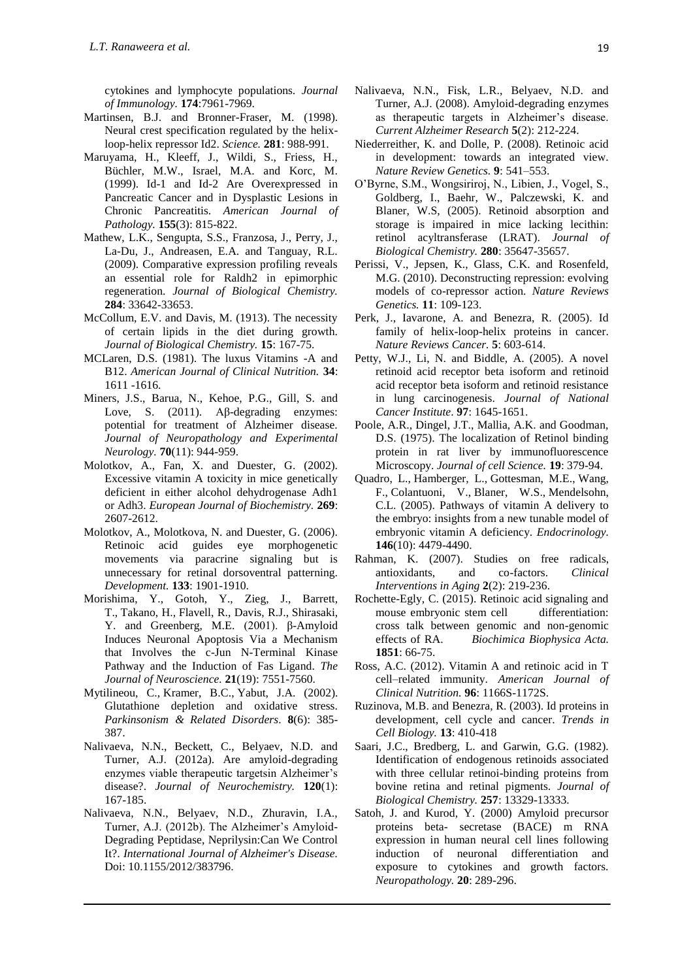cytokines and lymphocyte populations*. Journal of Immunology.* **174**:7961-7969.

- Martinsen, B.J. and Bronner-Fraser, M. (1998). Neural crest specification regulated by the helixloop-helix repressor Id2. *Science.* **281**: 988-991.
- Maruyama, H., Kleeff, J., Wildi, S., Friess, H., Büchler, M.W., Israel, M.A. and Korc, M. (1999). Id-1 and Id-2 Are Overexpressed in Pancreatic Cancer and in Dysplastic Lesions in Chronic Pancreatitis. *American Journal of Pathology.* **155**(3): 815-822.
- Mathew, L.K., Sengupta, S.S., Franzosa, J., Perry, J., La-Du, J., Andreasen, E.A. and Tanguay, R.L. (2009). Comparative expression profiling reveals an essential role for Raldh2 in epimorphic regeneration. *Journal of Biological Chemistry.* **284**: 33642-33653.
- McCollum, E.V. and Davis, M. (1913). The necessity of certain lipids in the diet during growth. *Journal of Biological Chemistry.* **15**: 167-75.
- MCLaren, D.S. (1981). The luxus Vitamins -A and B12. *American Journal of Clinical Nutrition.* **34**: 1611 -1616.
- Miners, J.S., Barua, N., Kehoe, P.G., [Gill, S.](http://www.ncbi.nlm.nih.gov/pubmed/?term=Gill%20S%5BAuthor%5D&cauthor=true&cauthor_uid=22002425) and [Love, S.](http://www.ncbi.nlm.nih.gov/pubmed/?term=Love%20S%5BAuthor%5D&cauthor=true&cauthor_uid=22002425) (2011). Aβ-degrading enzymes: potential for treatment of Alzheimer disease. *Journal of Neuropathology and Experimental Neurology.* **70**(11): 944-959.
- Molotkov, A., Fan, X. and Duester, G. (2002). Excessive vitamin A toxicity in mice genetically deficient in either alcohol dehydrogenase Adh1 or Adh3. *European Journal of Biochemistry.* **269**: 2607-2612.
- Molotkov, A., Molotkova, N. and Duester, G. (2006). Retinoic acid guides eye morphogenetic movements via paracrine signaling but is unnecessary for retinal dorsoventral patterning. *Development.* **133**: 1901-1910.
- Morishima, Y., Gotoh, Y., Zieg, J., Barrett, T., Takano, H., Flavell, R., Davis, R.J., Shirasaki, Y. and Greenberg, M.E. (2001). β-Amyloid Induces Neuronal Apoptosis Via a Mechanism that Involves the c-Jun N-Terminal Kinase Pathway and the Induction of Fas Ligand. *The Journal of Neuroscience.* **21**(19): 7551-7560.
- [Mytilineou, C.](http://www.ncbi.nlm.nih.gov/pubmed/?term=Mytilineou%20C%5BAuthor%5D&cauthor=true&cauthor_uid=12217624), [Kramer, B.C.,](http://www.ncbi.nlm.nih.gov/pubmed/?term=Kramer%20BC%5BAuthor%5D&cauthor=true&cauthor_uid=12217624) [Yabut, J.A.](http://www.ncbi.nlm.nih.gov/pubmed/?term=Yabut%20JA%5BAuthor%5D&cauthor=true&cauthor_uid=12217624) (2002). Glutathione depletion and oxidative stress. *Parkinsonism & Related Disorders*. **8**(6): 385- 387.
- Nalivaeva, N.N., Beckett, C., Belyaev, N.D. and Turner, A.J. (2012a). Are amyloid-degrading enzymes viable therapeutic targetsin Alzheimer's disease?. *Journal of Neurochemistry.* **120**(1): 167-185.
- Nalivaeva, N.N., Belyaev, N.D., Zhuravin, I.A., Turner, A.J. (2012b). The Alzheimer's Amyloid-Degrading Peptidase, Neprilysin:Can We Control It?. *[International Journal of Alzheimer's Disease.](https://www.researchgate.net/journal/2090-0252_International_Journal_of_Alzheimers_Disease)* Doi: 10.1155/2012/383796.
- Nalivaeva, N.N., Fisk, L.R., Belyaev, N.D. and Turner, A.J. (2008). Amyloid-degrading enzymes as therapeutic targets in Alzheimer's disease. *Current Alzheimer Research* **5**(2): 212-224.
- Niederreither, K. and Dolle, P. (2008). Retinoic acid in development: towards an integrated view. *Nature Review Genetics.* **9**: 541–553.
- O'Byrne, S.M., Wongsiriroj, N., Libien, J., Vogel, S., Goldberg, I., Baehr, W., Palczewski, K. and Blaner, W.S, (2005). Retinoid absorption and storage is impaired in mice lacking lecithin: retinol acyltransferase (LRAT). *Journal of Biological Chemistry.* **280**: 35647-35657.
- Perissi, V., Jepsen, K., Glass, C.K. and Rosenfeld, M.G. (2010). Deconstructing repression: evolving models of co-repressor action. *Nature Reviews Genetics.* **11**: 109-123.
- Perk, J., Iavarone, A. and Benezra, R. (2005). Id family of helix-loop-helix proteins in cancer. *Nature Reviews Cancer.* **5**: 603-614.
- Petty, W.J., Li, N. and Biddle, A. (2005). A novel retinoid acid receptor beta isoform and retinoid acid receptor beta isoform and retinoid resistance in lung carcinogenesis. *Journal of National Cancer Institute*. **97**: 1645-1651.
- Poole, A.R., Dingel, J.T., Mallia, A.K. and Goodman, D.S. (1975). The localization of Retinol binding protein in rat liver by immunofluorescence Microscopy. *Journal of cell Science.* **19**: 379-94.
- [Quadro, L.](http://www.ncbi.nlm.nih.gov/pubmed/?term=Quadro%20L%5BAuthor%5D&cauthor=true&cauthor_uid=15994349), [Hamberger, L.](http://www.ncbi.nlm.nih.gov/pubmed/?term=Hamberger%20L%5BAuthor%5D&cauthor=true&cauthor_uid=15994349), [Gottesman, M.E.,](http://www.ncbi.nlm.nih.gov/pubmed/?term=Gottesman%20ME%5BAuthor%5D&cauthor=true&cauthor_uid=15994349) [Wang,](http://www.ncbi.nlm.nih.gov/pubmed/?term=Wang%20F%5BAuthor%5D&cauthor=true&cauthor_uid=15994349)  [F.,](http://www.ncbi.nlm.nih.gov/pubmed/?term=Wang%20F%5BAuthor%5D&cauthor=true&cauthor_uid=15994349) [Colantuoni, V.](http://www.ncbi.nlm.nih.gov/pubmed/?term=Colantuoni%20V%5BAuthor%5D&cauthor=true&cauthor_uid=15994349), [Blaner, W.S.](http://www.ncbi.nlm.nih.gov/pubmed/?term=Blaner%20WS%5BAuthor%5D&cauthor=true&cauthor_uid=15994349), [Mendelsohn,](http://www.ncbi.nlm.nih.gov/pubmed/?term=Mendelsohn%20CL%5BAuthor%5D&cauthor=true&cauthor_uid=15994349)  [C.L.](http://www.ncbi.nlm.nih.gov/pubmed/?term=Mendelsohn%20CL%5BAuthor%5D&cauthor=true&cauthor_uid=15994349) (2005). Pathways of vitamin A delivery to the embryo: insights from a new tunable model of embryonic vitamin A deficiency. *Endocrinology.*  **146**(10): 4479-4490.
- [Rahman,](http://www.ncbi.nlm.nih.gov/pubmed/?term=Rahman%20K%5Bauth%5D) K. (2007). Studies on free radicals, antioxidants, and co-factors. *Clinical Interventions in Aging* **2**(2): 219-236.
- Rochette-Egly, C. (2015). Retinoic acid signaling and mouse embryonic stem cell differentiation: cross talk between genomic and non-genomic effects of RA. *Biochimica Biophysica Acta.* **1851**: 66-75.
- Ross, A.C. (2012). Vitamin A and retinoic acid in T cell–related immunity. *American Journal of Clinical Nutrition.* **96**: 1166S-1172S.
- Ruzinova, M.B. and Benezra, R. (2003). Id proteins in development, cell cycle and cancer. *Trends in Cell Biology.* **13**: 410-418
- Saari, J.C., Bredberg, L. and Garwin, G.G. (1982). Identification of endogenous retinoids associated with three cellular retinoi-binding proteins from bovine retina and retinal pigments. *Journal of Biological Chemistry.* **257**: 13329-13333.
- Satoh, J. and Kurod, Y. (2000) Amyloid precursor proteins beta- secretase (BACE) m RNA expression in human neural cell lines following induction of neuronal differentiation and exposure to cytokines and growth factors. *Neuropathology.* **20**: 289-296.